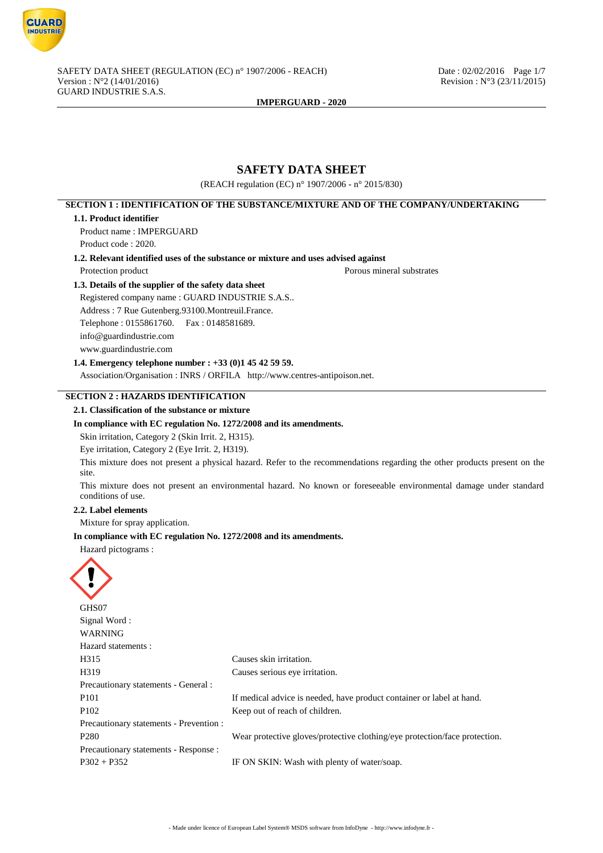

# **SAFETY DATA SHEET**

(REACH regulation (EC) n° 1907/2006 - n° 2015/830)

# **SECTION 1 : IDENTIFICATION OF THE SUBSTANCE/MIXTURE AND OF THE COMPANY/UNDERTAKING**

### **1.1. Product identifier**

Product name : IMPERGUARD Product code : 2020.

**1.2. Relevant identified uses of the substance or mixture and uses advised against**

Protection product Porous mineral substrates

# **1.3. Details of the supplier of the safety data sheet**

Registered company name : GUARD INDUSTRIE S.A.S.. Address : 7 Rue Gutenberg.93100.Montreuil.France. Telephone : 0155861760. Fax : 0148581689. info@guardindustrie.com www.guardindustrie.com

# **1.4. Emergency telephone number : +33 (0)1 45 42 59 59.**

Association/Organisation : INRS / ORFILA http://www.centres-antipoison.net.

# **SECTION 2 : HAZARDS IDENTIFICATION**

### **2.1. Classification of the substance or mixture**

### **In compliance with EC regulation No. 1272/2008 and its amendments.**

Skin irritation, Category 2 (Skin Irrit. 2, H315).

Eye irritation, Category 2 (Eye Irrit. 2, H319).

This mixture does not present a physical hazard. Refer to the recommendations regarding the other products present on the site.

This mixture does not present an environmental hazard. No known or foreseeable environmental damage under standard conditions of use.

#### **2.2. Label elements**

Mixture for spray application.

### **In compliance with EC regulation No. 1272/2008 and its amendments.**

Hazard pictograms :

| GHS07                                   |                                                                            |
|-----------------------------------------|----------------------------------------------------------------------------|
| Signal Word:                            |                                                                            |
| <b>WARNING</b>                          |                                                                            |
| Hazard statements :                     |                                                                            |
| H315                                    | Causes skin irritation.                                                    |
| H319                                    | Causes serious eye irritation.                                             |
| Precautionary statements - General :    |                                                                            |
| P <sub>101</sub>                        | If medical advice is needed, have product container or label at hand.      |
| P <sub>102</sub>                        | Keep out of reach of children.                                             |
| Precautionary statements - Prevention : |                                                                            |
| P <sub>280</sub>                        | Wear protective gloves/protective clothing/eye protection/face protection. |
| Precautionary statements - Response :   |                                                                            |
| $P302 + P352$                           | IF ON SKIN: Wash with plenty of water/soap.                                |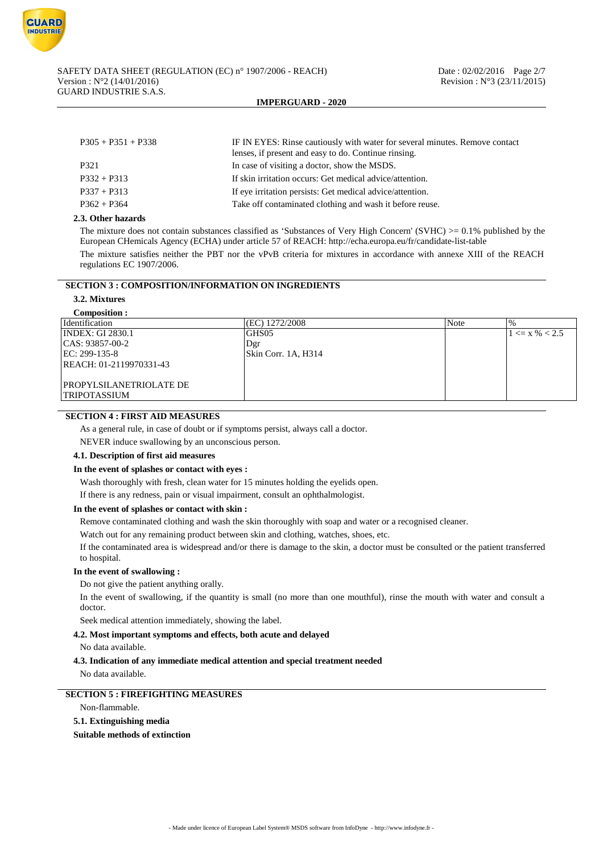| $P305 + P351 + P338$ | IF IN EYES: Rinse cautiously with water for several minutes. Remove contact<br>lenses, if present and easy to do. Continue rinsing. |  |
|----------------------|-------------------------------------------------------------------------------------------------------------------------------------|--|
| P321                 | In case of visiting a doctor, show the MSDS.                                                                                        |  |
| $P332 + P313$        | If skin irritation occurs: Get medical advice/attention.                                                                            |  |
| $P337 + P313$        | If eye irritation persists: Get medical advice/attention.                                                                           |  |
| $P362 + P364$        | Take off contaminated clothing and wash it before reuse.                                                                            |  |
|                      |                                                                                                                                     |  |

## **2.3. Other hazards**

The mixture does not contain substances classified as 'Substances of Very High Concern' (SVHC)  $>= 0.1\%$  published by the European CHemicals Agency (ECHA) under article 57 of REACH: http://echa.europa.eu/fr/candidate-list-table

The mixture satisfies neither the PBT nor the vPvB criteria for mixtures in accordance with annexe XIII of the REACH regulations EC 1907/2006.

# **SECTION 3 : COMPOSITION/INFORMATION ON INGREDIENTS**

**3.2. Mixtures**

| (EC) 1272/2008      | <b>Note</b> | $\%$                  |
|---------------------|-------------|-----------------------|
| GHS <sub>05</sub>   |             | $1 \le x \, \% < 2.5$ |
| Dgr                 |             |                       |
| Skin Corr. 1A, H314 |             |                       |
|                     |             |                       |
|                     |             |                       |
|                     |             |                       |
|                     |             |                       |
|                     |             |                       |

# **SECTION 4 : FIRST AID MEASURES**

As a general rule, in case of doubt or if symptoms persist, always call a doctor.

NEVER induce swallowing by an unconscious person.

### **4.1. Description of first aid measures**

## **In the event of splashes or contact with eyes :**

Wash thoroughly with fresh, clean water for 15 minutes holding the eyelids open.

If there is any redness, pain or visual impairment, consult an ophthalmologist.

## **In the event of splashes or contact with skin :**

Remove contaminated clothing and wash the skin thoroughly with soap and water or a recognised cleaner.

Watch out for any remaining product between skin and clothing, watches, shoes, etc.

If the contaminated area is widespread and/or there is damage to the skin, a doctor must be consulted or the patient transferred to hospital.

### **In the event of swallowing :**

Do not give the patient anything orally.

In the event of swallowing, if the quantity is small (no more than one mouthful), rinse the mouth with water and consult a doctor.

Seek medical attention immediately, showing the label.

## **4.2. Most important symptoms and effects, both acute and delayed**

No data available.

# **4.3. Indication of any immediate medical attention and special treatment needed**

No data available.

# **SECTION 5 : FIREFIGHTING MEASURES**

Non-flammable.

**5.1. Extinguishing media**

**Suitable methods of extinction**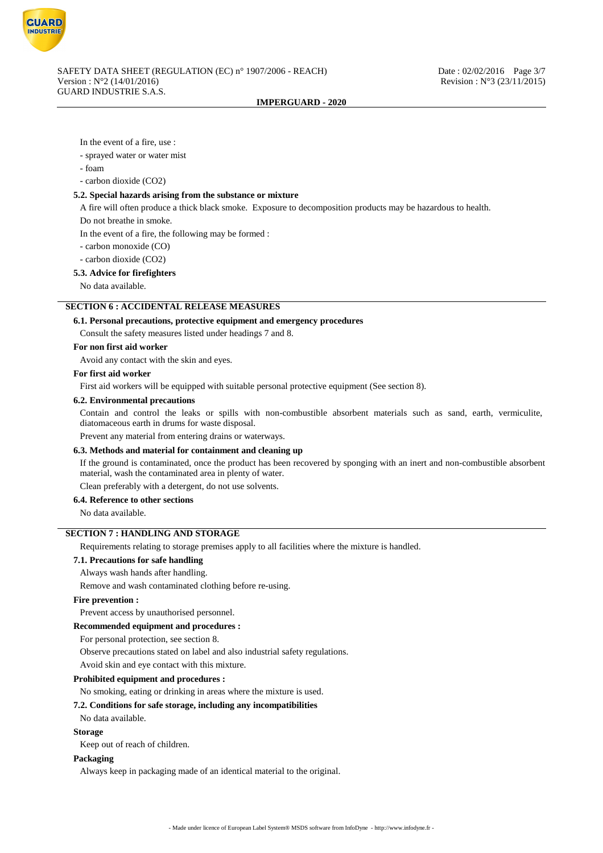

In the event of a fire, use :

- sprayed water or water mist
- foam

- carbon dioxide (CO2)

# **5.2. Special hazards arising from the substance or mixture**

A fire will often produce a thick black smoke. Exposure to decomposition products may be hazardous to health.

Do not breathe in smoke.

In the event of a fire, the following may be formed :

- carbon monoxide (CO)

- carbon dioxide (CO2)

### **5.3. Advice for firefighters**

No data available.

# **SECTION 6 : ACCIDENTAL RELEASE MEASURES**

#### **6.1. Personal precautions, protective equipment and emergency procedures**

Consult the safety measures listed under headings 7 and 8.

#### **For non first aid worker**

Avoid any contact with the skin and eyes.

### **For first aid worker**

First aid workers will be equipped with suitable personal protective equipment (See section 8).

#### **6.2. Environmental precautions**

Contain and control the leaks or spills with non-combustible absorbent materials such as sand, earth, vermiculite, diatomaceous earth in drums for waste disposal.

Prevent any material from entering drains or waterways.

#### **6.3. Methods and material for containment and cleaning up**

If the ground is contaminated, once the product has been recovered by sponging with an inert and non-combustible absorbent material, wash the contaminated area in plenty of water.

Clean preferably with a detergent, do not use solvents.

### **6.4. Reference to other sections**

No data available.

# **SECTION 7 : HANDLING AND STORAGE**

Requirements relating to storage premises apply to all facilities where the mixture is handled.

### **7.1. Precautions for safe handling**

Always wash hands after handling.

Remove and wash contaminated clothing before re-using.

### **Fire prevention :**

Prevent access by unauthorised personnel.

# **Recommended equipment and procedures :**

For personal protection, see section 8.

Observe precautions stated on label and also industrial safety regulations.

Avoid skin and eye contact with this mixture.

#### **Prohibited equipment and procedures :**

No smoking, eating or drinking in areas where the mixture is used.

#### **7.2. Conditions for safe storage, including any incompatibilities**

No data available.

#### **Storage**

Keep out of reach of children.

### **Packaging**

Always keep in packaging made of an identical material to the original.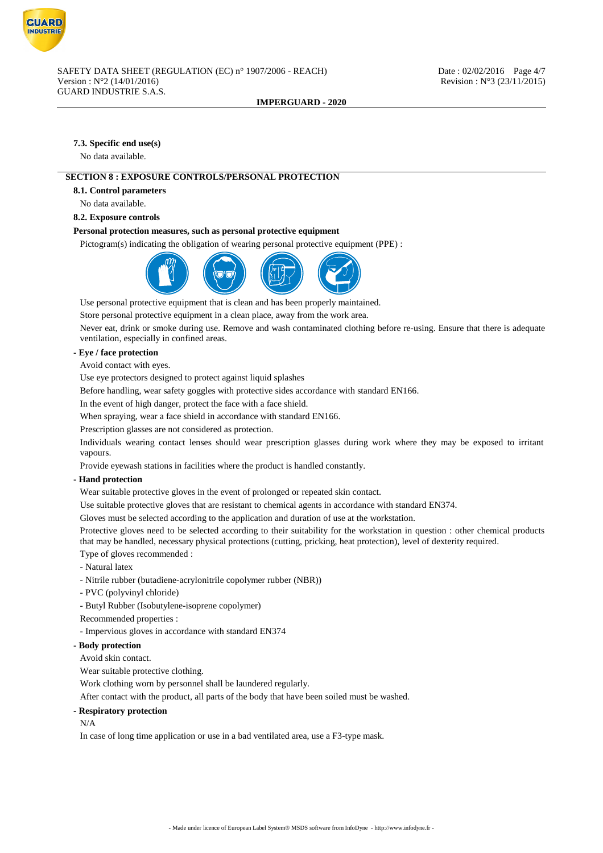

# **7.3. Specific end use(s)**

No data available.

# **SECTION 8 : EXPOSURE CONTROLS/PERSONAL PROTECTION**

**8.1. Control parameters**

No data available.

**8.2. Exposure controls**

## **Personal protection measures, such as personal protective equipment**

Pictogram(s) indicating the obligation of wearing personal protective equipment (PPE) :



Use personal protective equipment that is clean and has been properly maintained.

Store personal protective equipment in a clean place, away from the work area.

Never eat, drink or smoke during use. Remove and wash contaminated clothing before re-using. Ensure that there is adequate ventilation, especially in confined areas.

# **- Eye / face protection**

Avoid contact with eyes.

Use eye protectors designed to protect against liquid splashes

Before handling, wear safety goggles with protective sides accordance with standard EN166.

In the event of high danger, protect the face with a face shield.

When spraying, wear a face shield in accordance with standard EN166.

Prescription glasses are not considered as protection.

Individuals wearing contact lenses should wear prescription glasses during work where they may be exposed to irritant vapours.

Provide eyewash stations in facilities where the product is handled constantly.

## **- Hand protection**

Wear suitable protective gloves in the event of prolonged or repeated skin contact.

Use suitable protective gloves that are resistant to chemical agents in accordance with standard EN374.

Gloves must be selected according to the application and duration of use at the workstation.

Protective gloves need to be selected according to their suitability for the workstation in question : other chemical products that may be handled, necessary physical protections (cutting, pricking, heat protection), level of dexterity required.

Type of gloves recommended :

- Natural latex

- Nitrile rubber (butadiene-acrylonitrile copolymer rubber (NBR))
- PVC (polyvinyl chloride)

- Butyl Rubber (Isobutylene-isoprene copolymer)

Recommended properties :

- Impervious gloves in accordance with standard EN374

## **- Body protection**

Avoid skin contact.

Wear suitable protective clothing.

Work clothing worn by personnel shall be laundered regularly.

After contact with the product, all parts of the body that have been soiled must be washed.

## **- Respiratory protection**

N/A

In case of long time application or use in a bad ventilated area, use a F3-type mask.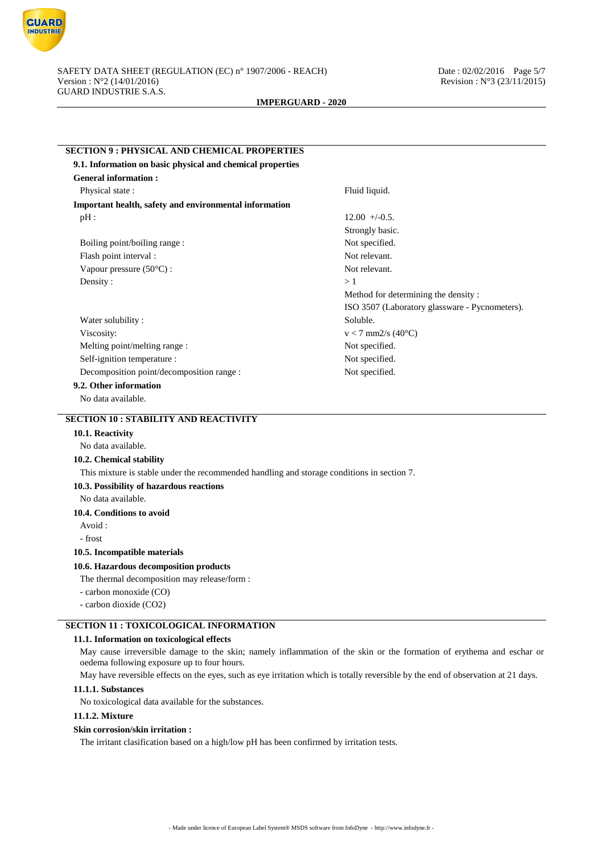

| <b>SECTION 9: PHYSICAL AND CHEMICAL PROPERTIES</b>                                         |                                                |
|--------------------------------------------------------------------------------------------|------------------------------------------------|
| 9.1. Information on basic physical and chemical properties                                 |                                                |
| <b>General information:</b>                                                                |                                                |
| Physical state:                                                                            | Fluid liquid.                                  |
| Important health, safety and environmental information                                     |                                                |
| $pH$ :                                                                                     | $12.00 + -0.5$ .                               |
|                                                                                            | Strongly basic.                                |
| Boiling point/boiling range:                                                               | Not specified.                                 |
| Flash point interval :                                                                     | Not relevant.                                  |
| Vapour pressure (50°C):                                                                    | Not relevant.                                  |
| Density:                                                                                   | >1                                             |
|                                                                                            | Method for determining the density:            |
|                                                                                            | ISO 3507 (Laboratory glassware - Pycnometers). |
| Water solubility:                                                                          | Soluble.                                       |
| Viscosity:                                                                                 | $v < 7$ mm2/s (40°C)                           |
| Melting point/melting range:                                                               | Not specified.                                 |
| Self-ignition temperature :                                                                | Not specified.                                 |
| Decomposition point/decomposition range :                                                  | Not specified.                                 |
| 9.2. Other information                                                                     |                                                |
| No data available.                                                                         |                                                |
| <b>SECTION 10: STABILITY AND REACTIVITY</b>                                                |                                                |
| 10.1. Reactivity                                                                           |                                                |
| No data available.                                                                         |                                                |
| 10.2. Chemical stability                                                                   |                                                |
| This mixture is stable under the recommended handling and storage conditions in section 7. |                                                |
| 10.3. Possibility of hazardous reactions                                                   |                                                |
| No data available.                                                                         |                                                |
| 10.4. Conditions to avoid                                                                  |                                                |
| Avoid:                                                                                     |                                                |
| - frost                                                                                    |                                                |
| 10.5. Incompatible materials                                                               |                                                |
| 10.6. Hazardous decomposition products                                                     |                                                |
| The thermal decomposition may release/form :                                               |                                                |
| - carbon monoxide (CO)                                                                     |                                                |
| - carbon dioxide (CO2)                                                                     |                                                |
|                                                                                            |                                                |

# **SECTION 11 : TOXICOLOGICAL INFORMATION**

# **11.1. Information on toxicological effects**

May cause irreversible damage to the skin; namely inflammation of the skin or the formation of erythema and eschar or oedema following exposure up to four hours.

May have reversible effects on the eyes, such as eye irritation which is totally reversible by the end of observation at 21 days.

### **11.1.1. Substances**

No toxicological data available for the substances.

# **11.1.2. Mixture**

# **Skin corrosion/skin irritation :**

The irritant clasification based on a high/low pH has been confirmed by irritation tests.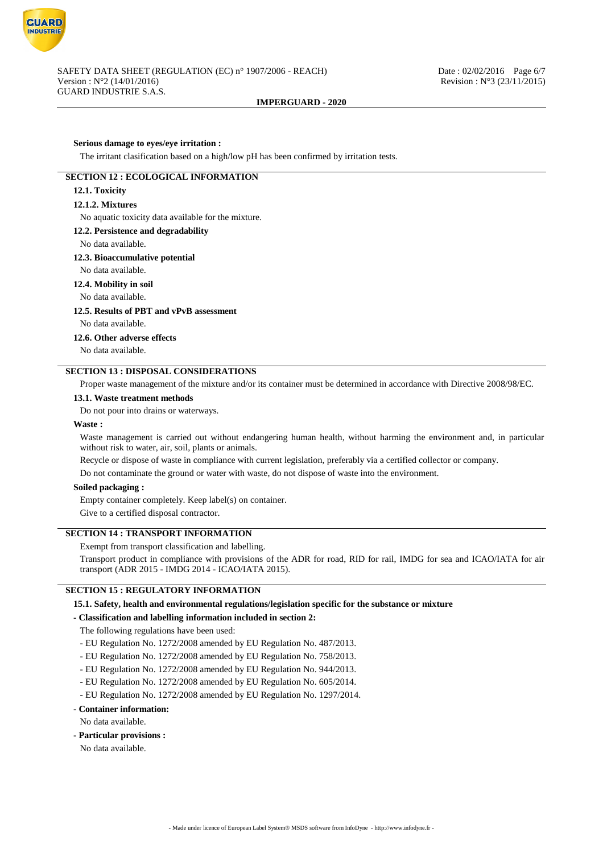

### **Serious damage to eyes/eye irritation :**

The irritant clasification based on a high/low pH has been confirmed by irritation tests.

# **SECTION 12 : ECOLOGICAL INFORMATION**

# **12.1. Toxicity**

### **12.1.2. Mixtures**

No aquatic toxicity data available for the mixture.

### **12.2. Persistence and degradability**

#### No data available.

#### **12.3. Bioaccumulative potential**

No data available.

### **12.4. Mobility in soil**

No data available.

### **12.5. Results of PBT and vPvB assessment**

No data available.

**12.6. Other adverse effects**

No data available.

# **SECTION 13 : DISPOSAL CONSIDERATIONS**

Proper waste management of the mixture and/or its container must be determined in accordance with Directive 2008/98/EC.

#### **13.1. Waste treatment methods**

Do not pour into drains or waterways.

#### **Waste :**

Waste management is carried out without endangering human health, without harming the environment and, in particular without risk to water, air, soil, plants or animals.

Recycle or dispose of waste in compliance with current legislation, preferably via a certified collector or company.

Do not contaminate the ground or water with waste, do not dispose of waste into the environment.

## **Soiled packaging :**

Empty container completely. Keep label(s) on container.

Give to a certified disposal contractor.

### **SECTION 14 : TRANSPORT INFORMATION**

Exempt from transport classification and labelling.

Transport product in compliance with provisions of the ADR for road, RID for rail, IMDG for sea and ICAO/IATA for air transport (ADR 2015 - IMDG 2014 - ICAO/IATA 2015).

# **SECTION 15 : REGULATORY INFORMATION**

### **15.1. Safety, health and environmental regulations/legislation specific for the substance or mixture**

## **- Classification and labelling information included in section 2:**

The following regulations have been used:

- EU Regulation No. 1272/2008 amended by EU Regulation No. 487/2013.
- EU Regulation No. 1272/2008 amended by EU Regulation No. 758/2013.
- EU Regulation No. 1272/2008 amended by EU Regulation No. 944/2013.
- EU Regulation No. 1272/2008 amended by EU Regulation No. 605/2014.
- EU Regulation No. 1272/2008 amended by EU Regulation No. 1297/2014.

# **- Container information:**

- No data available.
- **Particular provisions :**

No data available.